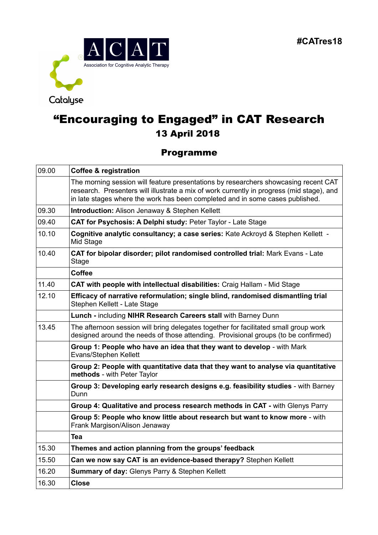

# "Encouraging to Engaged" in CAT Research 13 April 2018

### Programme

| 09.00 | <b>Coffee &amp; registration</b>                                                                                                                                                                                                                                  |
|-------|-------------------------------------------------------------------------------------------------------------------------------------------------------------------------------------------------------------------------------------------------------------------|
|       | The morning session will feature presentations by researchers showcasing recent CAT<br>research. Presenters will illustrate a mix of work currently in progress (mid stage), and<br>in late stages where the work has been completed and in some cases published. |
| 09.30 | <b>Introduction: Alison Jenaway &amp; Stephen Kellett</b>                                                                                                                                                                                                         |
| 09.40 | CAT for Psychosis: A Delphi study: Peter Taylor - Late Stage                                                                                                                                                                                                      |
| 10.10 | Cognitive analytic consultancy; a case series: Kate Ackroyd & Stephen Kellett -<br>Mid Stage                                                                                                                                                                      |
| 10.40 | CAT for bipolar disorder; pilot randomised controlled trial: Mark Evans - Late<br>Stage                                                                                                                                                                           |
|       | <b>Coffee</b>                                                                                                                                                                                                                                                     |
| 11.40 | CAT with people with intellectual disabilities: Craig Hallam - Mid Stage                                                                                                                                                                                          |
| 12.10 | Efficacy of narrative reformulation; single blind, randomised dismantling trial<br>Stephen Kellett - Late Stage                                                                                                                                                   |
|       | Lunch - including NIHR Research Careers stall with Barney Dunn                                                                                                                                                                                                    |
| 13.45 | The afternoon session will bring delegates together for facilitated small group work<br>designed around the needs of those attending. Provisional groups (to be confirmed)                                                                                        |
|       | Group 1: People who have an idea that they want to develop - with Mark<br>Evans/Stephen Kellett                                                                                                                                                                   |
|       | Group 2: People with quantitative data that they want to analyse via quantitative<br>methods - with Peter Taylor                                                                                                                                                  |
|       | Group 3: Developing early research designs e.g. feasibility studies - with Barney<br>Dunn                                                                                                                                                                         |
|       | Group 4: Qualitative and process research methods in CAT - with Glenys Parry                                                                                                                                                                                      |
|       | Group 5: People who know little about research but want to know more - with<br>Frank Margison/Alison Jenaway                                                                                                                                                      |
|       | <b>Tea</b>                                                                                                                                                                                                                                                        |
| 15.30 | Themes and action planning from the groups' feedback                                                                                                                                                                                                              |
| 15.50 | Can we now say CAT is an evidence-based therapy? Stephen Kellett                                                                                                                                                                                                  |
| 16.20 | Summary of day: Glenys Parry & Stephen Kellett                                                                                                                                                                                                                    |
| 16.30 | <b>Close</b>                                                                                                                                                                                                                                                      |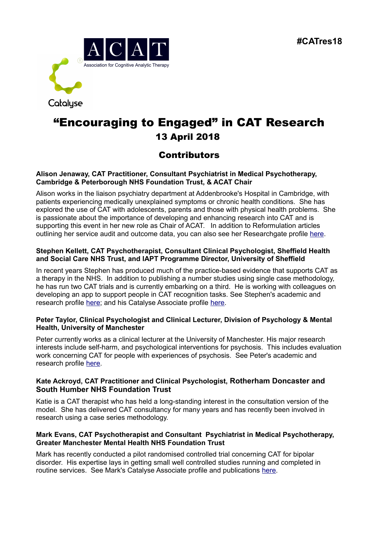

## "Encouraging to Engaged" in CAT Research 13 April 2018

## **Contributors**

#### **Alison Jenaway, CAT Practitioner, Consultant Psychiatrist in Medical Psychotherapy, Cambridge & Peterborough NHS Foundation Trust, & ACAT Chair**

Alison works in the liaison psychiatry department at Addenbrooke's Hospital in Cambridge, with patients experiencing medically unexplained symptoms or chronic health conditions. She has explored the use of CAT with adolescents, parents and those with physical health problems. She is passionate about the importance of developing and enhancing research into CAT and is supporting this event in her new role as Chair of ACAT. In addition to Reformulation articles outlining her service audit and outcome data, you can also see her Researchgate profile [here.](https://www.researchgate.net/profile/Alison_Jenaway)

#### **Stephen Kellett, CAT Psychotherapist, Consultant Clinical Psychologist, Sheffield Health and Social Care NHS Trust, and IAPT Programme Director, University of Sheffield**

In recent years Stephen has produced much of the practice-based evidence that supports CAT as a therapy in the NHS. In addition to publishing a number studies using single case methodology, he has run two CAT trials and is currently embarking on a third. He is working with colleagues on developing an app to support people in CAT recognition tasks. See Stephen's academic and research profile [here;](https://www.sheffield.ac.uk/psychology/staff/academic/stephen-kellett) and his Catalyse Associate profile [here.](https://catalyse.uk.com/about/about-catalyse/people-working-with-catalyse/stephen-kellett/)

#### **Peter Taylor, Clinical Psychologist and Clinical Lecturer, Division of Psychology & Mental Health, University of Manchester**

Peter currently works as a clinical lecturer at the University of Manchester. His major research interests include self-harm, and psychological interventions for psychosis. This includes evaluation work concerning CAT for people with experiences of psychosis. See Peter's academic and research profile [here.](https://www.research.manchester.ac.uk/portal/peter.taylor-2.html)

#### **Kate Ackroyd, CAT Practitioner and Clinical Psychologist, Rotherham Doncaster and South Humber NHS Foundation Trust**

Katie is a CAT therapist who has held a long-standing interest in the consultation version of the model. She has delivered CAT consultancy for many years and has recently been involved in research using a case series methodology.

#### **Mark Evans, CAT Psychotherapist and Consultant Psychiatrist in Medical Psychotherapy, Greater Manchester Mental Health NHS Foundation Trust**

Mark has recently conducted a pilot randomised controlled trial concerning CAT for bipolar disorder. His expertise lays in getting small well controlled studies running and completed in routine services. See Mark's Catalyse Associate profile and publications [here.](https://catalyse.uk.com/about/about-catalyse/people-working-with-catalyse/mark-evans/)